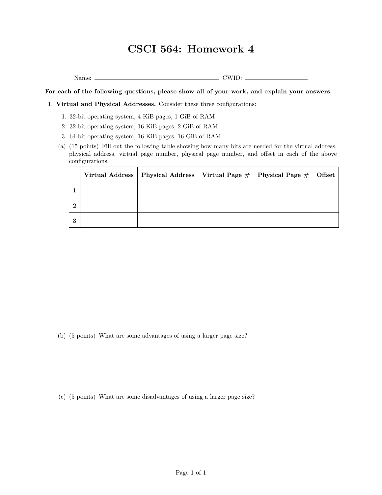## **CSCI 564: Homework 4**

Name: CWID:

**For each of the following questions, please show all of your work, and explain your answers.**

1. **Virtual and Physical Addresses.** Consider these three configurations:

- 1. 32-bit operating system, 4 KiB pages, 1 GiB of RAM
- 2. 32-bit operating system, 16 KiB pages, 2 GiB of RAM
- 3. 64-bit operating system, 16 KiB pages, 16 GiB of RAM
- (a) (15 points) Fill out the following table showing how many bits are needed for the virtual address, physical address, virtual page number, physical page number, and offset in each of the above configurations.

|   | Virtual Address   Physical Address   Virtual Page $#$   Physical Page $#$ |  | Offset |
|---|---------------------------------------------------------------------------|--|--------|
|   |                                                                           |  |        |
| റ |                                                                           |  |        |
| 3 |                                                                           |  |        |

(b) (5 points) What are some advantages of using a larger page size?

(c) (5 points) What are some disadvantages of using a larger page size?